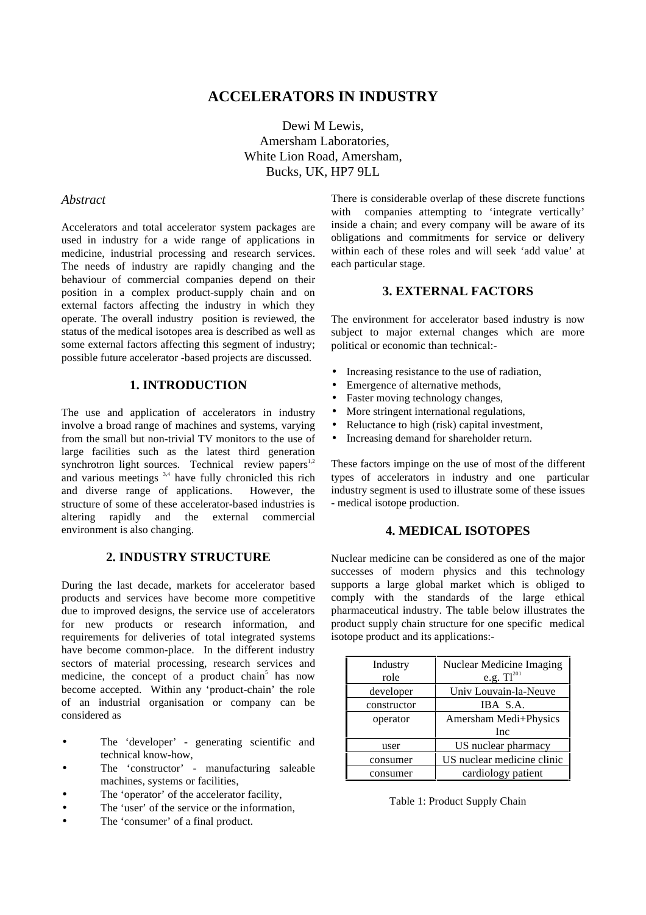# **ACCELERATORS IN INDUSTRY**

Dewi M Lewis, Amersham Laboratories, White Lion Road, Amersham, Bucks, UK, HP7 9LL

#### *Abstract*

Accelerators and total accelerator system packages are used in industry for a wide range of applications in medicine, industrial processing and research services. The needs of industry are rapidly changing and the behaviour of commercial companies depend on their position in a complex product-supply chain and on external factors affecting the industry in which they operate. The overall industry position is reviewed, the status of the medical isotopes area is described as well as some external factors affecting this segment of industry; possible future accelerator -based projects are discussed.

#### **1. INTRODUCTION**

The use and application of accelerators in industry involve a broad range of machines and systems, varying from the small but non-trivial TV monitors to the use of large facilities such as the latest third generation synchrotron light sources. Technical review papers<sup>1,2</sup> and various meetings  $3,4$  have fully chronicled this rich and diverse range of applications. However, the structure of some of these accelerator-based industries is altering rapidly and the external commercial environment is also changing.

# **2. INDUSTRY STRUCTURE**

During the last decade, markets for accelerator based products and services have become more competitive due to improved designs, the service use of accelerators for new products or research information, and requirements for deliveries of total integrated systems have become common-place. In the different industry sectors of material processing, research services and medicine, the concept of a product chain<sup>5</sup> has now become accepted. Within any 'product-chain' the role of an industrial organisation or company can be considered as

- The 'developer' generating scientific and technical know-how,
- The 'constructor' manufacturing saleable machines, systems or facilities,
- The 'operator' of the accelerator facility,
- The 'user' of the service or the information,
- The 'consumer' of a final product.

There is considerable overlap of these discrete functions with companies attempting to 'integrate vertically' inside a chain; and every company will be aware of its obligations and commitments for service or delivery within each of these roles and will seek 'add value' at each particular stage.

## **3. EXTERNAL FACTORS**

The environment for accelerator based industry is now subject to major external changes which are more political or economic than technical:-

- Increasing resistance to the use of radiation,
- Emergence of alternative methods,
- Faster moving technology changes,
- More stringent international regulations,
- Reluctance to high (risk) capital investment,
- Increasing demand for shareholder return.

These factors impinge on the use of most of the different types of accelerators in industry and one particular industry segment is used to illustrate some of these issues - medical isotope production.

#### **4. MEDICAL ISOTOPES**

Nuclear medicine can be considered as one of the major successes of modern physics and this technology supports a large global market which is obliged to comply with the standards of the large ethical pharmaceutical industry. The table below illustrates the product supply chain structure for one specific medical isotope product and its applications:-

| Industry    | Nuclear Medicine Imaging   |
|-------------|----------------------------|
| role        | e.g. $TI^{201}$            |
| developer   | Univ Louvain-la-Neuve      |
| constructor | IBA S.A.                   |
| operator    | Amersham Medi+Physics      |
|             | <b>Inc</b>                 |
| user        | US nuclear pharmacy        |
| consumer    | US nuclear medicine clinic |
| consumer    | cardiology patient         |

Table 1: Product Supply Chain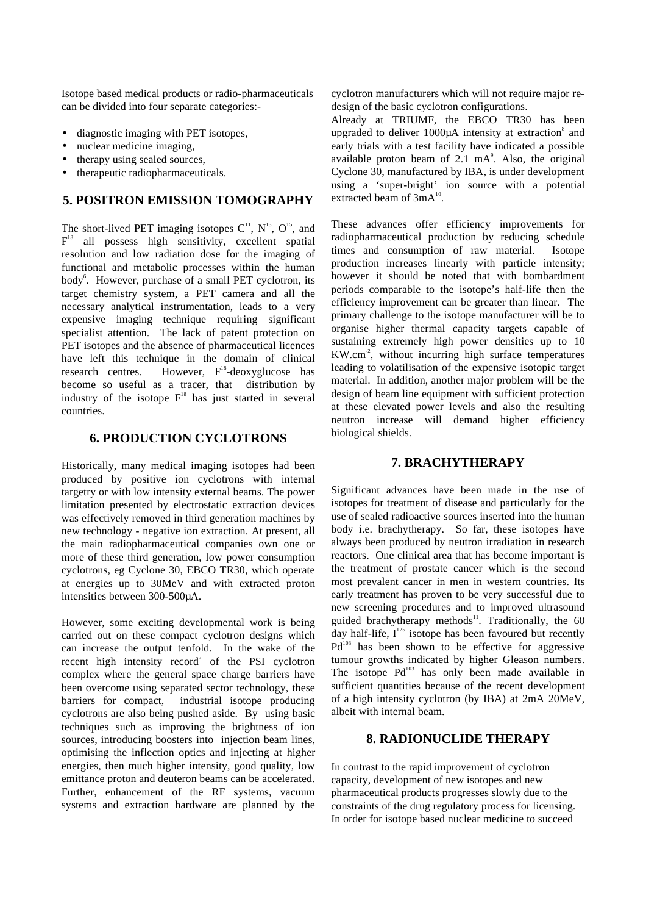Isotope based medical products or radio-pharmaceuticals can be divided into four separate categories:-

- diagnostic imaging with PET isotopes,
- nuclear medicine imaging,
- therapy using sealed sources,
- therapeutic radiopharmaceuticals.

# **5. POSITRON EMISSION TOMOGRAPHY**

The short-lived PET imaging isotopes  $C^{11}$ ,  $N^{13}$ ,  $O^{15}$ , and  $F<sup>18</sup>$  all possess high sensitivity, excellent spatial resolution and low radiation dose for the imaging of functional and metabolic processes within the human body<sup>6</sup>. However, purchase of a small PET cyclotron, its target chemistry system, a PET camera and all the necessary analytical instrumentation, leads to a very expensive imaging technique requiring significant specialist attention. The lack of patent protection on PET isotopes and the absence of pharmaceutical licences have left this technique in the domain of clinical research centres. However,  $F^{18}$ -deoxyglucose has become so useful as a tracer, that distribution by industry of the isotope  $F<sup>18</sup>$  has just started in several countries.

# **6. PRODUCTION CYCLOTRONS**

Historically, many medical imaging isotopes had been produced by positive ion cyclotrons with internal targetry or with low intensity external beams. The power limitation presented by electrostatic extraction devices was effectively removed in third generation machines by new technology - negative ion extraction. At present, all the main radiopharmaceutical companies own one or more of these third generation, low power consumption cyclotrons, eg Cyclone 30, EBCO TR30, which operate at energies up to 30MeV and with extracted proton intensities between 300-500µA.

However, some exciting developmental work is being carried out on these compact cyclotron designs which can increase the output tenfold. In the wake of the recent high intensity record<sup>7</sup> of the PSI cyclotron complex where the general space charge barriers have been overcome using separated sector technology, these barriers for compact, industrial isotope producing cyclotrons are also being pushed aside. By using basic techniques such as improving the brightness of ion sources, introducing boosters into injection beam lines, optimising the inflection optics and injecting at higher energies, then much higher intensity, good quality, low emittance proton and deuteron beams can be accelerated. Further, enhancement of the RF systems, vacuum systems and extraction hardware are planned by the cyclotron manufacturers which will not require major redesign of the basic cyclotron configurations.

Already at TRIUMF, the EBCO TR30 has been upgraded to deliver  $1000\mu A$  intensity at extraction<sup>8</sup> and early trials with a test facility have indicated a possible available proton beam of  $2.1 \text{ mA}^9$ . Also, the original Cyclone 30, manufactured by IBA, is under development using a 'super-bright' ion source with a potential extracted beam of  $3mA^{10}$ .

These advances offer efficiency improvements for radiopharmaceutical production by reducing schedule times and consumption of raw material. Isotope production increases linearly with particle intensity; however it should be noted that with bombardment periods comparable to the isotope's half-life then the efficiency improvement can be greater than linear. The primary challenge to the isotope manufacturer will be to organise higher thermal capacity targets capable of sustaining extremely high power densities up to 10 KW.cm-2, without incurring high surface temperatures leading to volatilisation of the expensive isotopic target material. In addition, another major problem will be the design of beam line equipment with sufficient protection at these elevated power levels and also the resulting neutron increase will demand higher efficiency biological shields.

## **7. BRACHYTHERAPY**

Significant advances have been made in the use of isotopes for treatment of disease and particularly for the use of sealed radioactive sources inserted into the human body i.e. brachytherapy. So far, these isotopes have always been produced by neutron irradiation in research reactors. One clinical area that has become important is the treatment of prostate cancer which is the second most prevalent cancer in men in western countries. Its early treatment has proven to be very successful due to new screening procedures and to improved ultrasound guided brachytherapy methods<sup>11</sup>. Traditionally, the 60 day half-life,  $I^{125}$  isotope has been favoured but recently  $Pd^{103}$  has been shown to be effective for aggressive tumour growths indicated by higher Gleason numbers. The isotope  $Pd^{103}$  has only been made available in sufficient quantities because of the recent development of a high intensity cyclotron (by IBA) at 2mA 20MeV, albeit with internal beam.

#### **8. RADIONUCLIDE THERAPY**

In contrast to the rapid improvement of cyclotron capacity, development of new isotopes and new pharmaceutical products progresses slowly due to the constraints of the drug regulatory process for licensing. In order for isotope based nuclear medicine to succeed